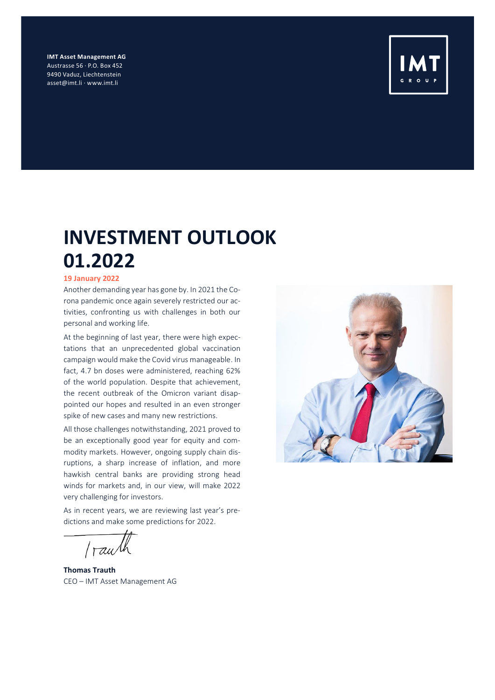**IMT Asset Management AG** Austrasse 56 · P.O. Box 452 9490 Vaduz, Liechtenstein asset@imt.li · www.imt.li



## **INVESTMENT OUTLOOK 01.2022**

#### **19 January 2022**

Another demanding year has gone by. In 2021 the Corona pandemic once again severely restricted our activities, confronting us with challenges in both our personal and working life.

At the beginning of last year, there were high expectations that an unprecedented global vaccination campaign would make the Covid virus manageable. In fact, 4.7 bn doses were administered, reaching 62% of the world population. Despite that achievement, the recent outbreak of the Omicron variant disappointed our hopes and resulted in an even stronger spike of new cases and many new restrictions.

All those challenges notwithstanding, 2021 proved to be an exceptionally good year for equity and commodity markets. However, ongoing supply chain disruptions, a sharp increase of inflation, and more hawkish central banks are providing strong head winds for markets and, in our view, will make 2022 very challenging for investors.

As in recent years, we are reviewing last year's predictions and make some predictions for 2022.

*rau* 

**Thomas Trauth** CEO – IMT Asset Management AG

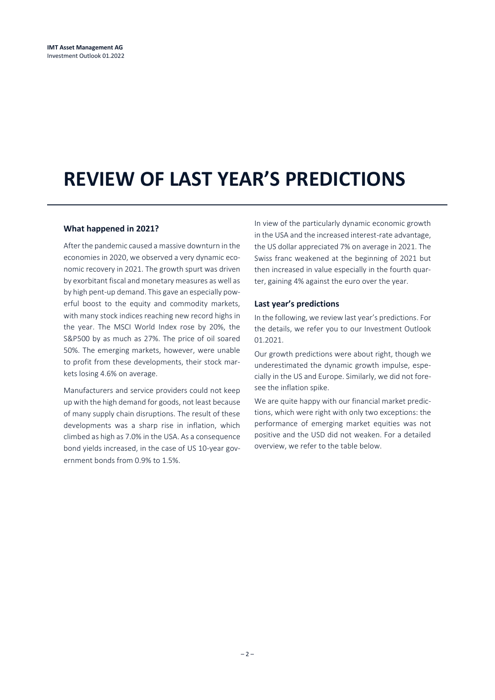## **REVIEW OF LAST YEAR'S PREDICTIONS**

#### **What happened in 2021?**

After the pandemic caused a massive downturn in the economies in 2020, we observed a very dynamic economic recovery in 2021. The growth spurt was driven by exorbitant fiscal and monetary measures as well as by high pent-up demand. This gave an especially powerful boost to the equity and commodity markets, with many stock indices reaching new record highs in the year. The MSCI World Index rose by 20%, the S&P500 by as much as 27%. The price of oil soared 50%. The emerging markets, however, were unable to profit from these developments, their stock markets losing 4.6% on average.

Manufacturers and service providers could not keep up with the high demand for goods, not least because of many supply chain disruptions. The result of these developments was a sharp rise in inflation, which climbed as high as 7.0% in the USA. As a consequence bond yields increased, in the case of US 10-year government bonds from 0.9% to 1.5%.

In view of the particularly dynamic economic growth in the USA and the increased interest-rate advantage, the US dollar appreciated 7% on average in 2021. The Swiss franc weakened at the beginning of 2021 but then increased in value especially in the fourth quarter, gaining 4% against the euro over the year.

#### **Last year's predictions**

In the following, we review last year's predictions. For the details, we refer you to our Investment Outlook 01.2021.

Our growth predictions were about right, though we underestimated the dynamic growth impulse, especially in the US and Europe. Similarly, we did not foresee the inflation spike.

We are quite happy with our financial market predictions, which were right with only two exceptions: the performance of emerging market equities was not positive and the USD did not weaken. For a detailed overview, we refer to the table below.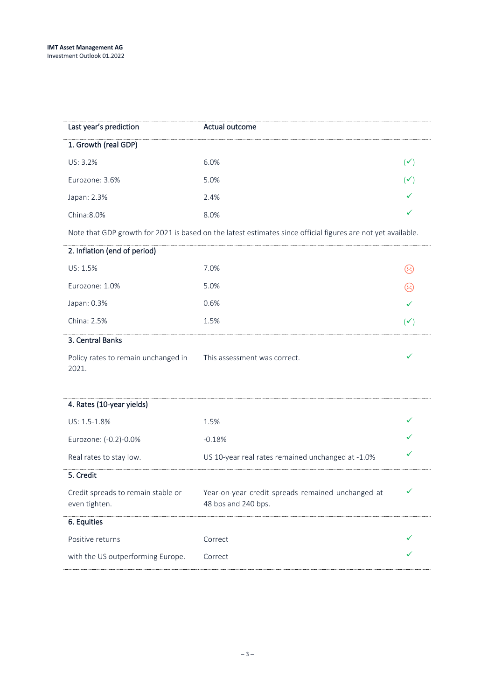| Last year's prediction                              | Actual outcome                                                                                               |                |
|-----------------------------------------------------|--------------------------------------------------------------------------------------------------------------|----------------|
| 1. Growth (real GDP)                                |                                                                                                              |                |
| US: 3.2%                                            | 6.0%                                                                                                         | $(\checkmark)$ |
| Eurozone: 3.6%                                      | 5.0%                                                                                                         | $(\checkmark)$ |
| Japan: 2.3%                                         | 2.4%                                                                                                         |                |
| China: 8.0%                                         | 8.0%                                                                                                         |                |
|                                                     | Note that GDP growth for 2021 is based on the latest estimates since official figures are not yet available. |                |
| 2. Inflation (end of period)                        |                                                                                                              |                |
| US: 1.5%                                            | 7.0%                                                                                                         | $\odot$        |
| Eurozone: 1.0%                                      | 5.0%                                                                                                         | $\odot$        |
| Japan: 0.3%                                         | 0.6%                                                                                                         |                |
| China: 2.5%                                         | 1.5%                                                                                                         | $(\checkmark)$ |
| 3. Central Banks                                    |                                                                                                              |                |
| Policy rates to remain unchanged in<br>2021.        | This assessment was correct.                                                                                 |                |
|                                                     |                                                                                                              |                |
| 4. Rates (10-year yields)                           |                                                                                                              |                |
| US: 1.5-1.8%                                        | 1.5%                                                                                                         |                |
| Eurozone: (-0.2)-0.0%                               | $-0.18%$                                                                                                     |                |
| Real rates to stay low.                             | US 10-year real rates remained unchanged at -1.0%                                                            |                |
| 5. Credit                                           |                                                                                                              |                |
| Credit spreads to remain stable or<br>even tighten. | Year-on-year credit spreads remained unchanged at<br>48 bps and 240 bps.                                     | ✔              |
| 6. Equities                                         |                                                                                                              |                |
| Positive returns                                    | Correct                                                                                                      |                |
| with the US outperforming Europe.                   | Correct                                                                                                      |                |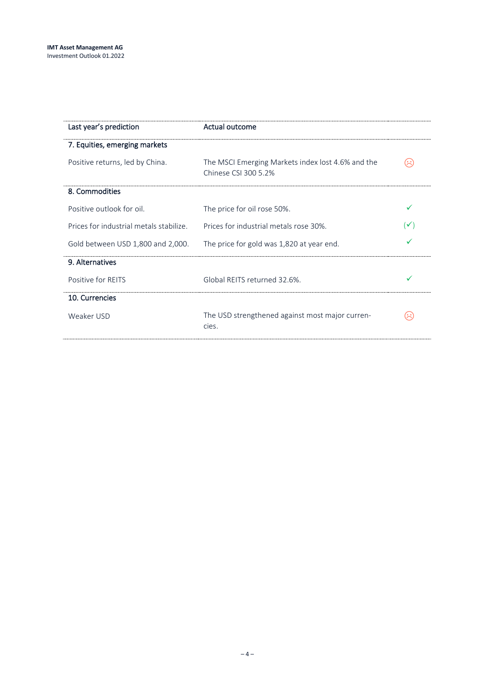| Last year's prediction                  | Actual outcome                                                            |                |
|-----------------------------------------|---------------------------------------------------------------------------|----------------|
| 7. Equities, emerging markets           |                                                                           |                |
| Positive returns, led by China.         | The MSCI Emerging Markets index lost 4.6% and the<br>Chinese CSI 300 5.2% | Ξ              |
| 8. Commodities                          |                                                                           |                |
| Positive outlook for oil.               | The price for oil rose 50%.                                               | ✓              |
| Prices for industrial metals stabilize. | Prices for industrial metals rose 30%.                                    | $(\checkmark)$ |
| Gold between USD 1,800 and 2,000.       | The price for gold was 1,820 at year end.                                 |                |
| 9. Alternatives                         |                                                                           |                |
| Positive for REITS                      | Global REITS returned 32.6%.                                              |                |
| 10. Currencies                          |                                                                           |                |
| Weaker USD                              | The USD strengthened against most major curren-<br>cies.                  | Ж              |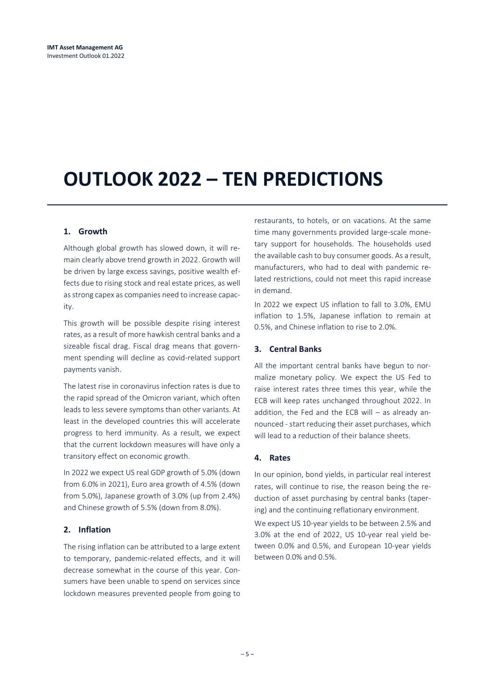# **OUTLOOK 2022 – TEN PREDICTIONS**

### **1. Growth**

Although global growth has slowed down, it will remain clearly above trend growth in 2022. Growth will be driven by large excess savings, positive wealth effects due to rising stock and real estate prices, as well as strong capex as companies need to increase capacity.

This growth will be possible despite rising interest rates, as a result of more hawkish central banks and a sizeable fiscal drag. Fiscal drag means that government spending will decline as covid-related support payments vanish.

The latest rise in coronavirus infection rates is due to the rapid spread of the Omicron variant, which often leads to less severe symptoms than other variants. At least in the developed countries this will accelerate progress to herd immunity. As a result, we expect that the current lockdown measures will have only a transitory effect on economic growth.

In 2022 we expect US real GDP growth of 5.0% (down from 6.0% in 2021), Euro area growth of 4.5% (down from 5.0%), Japanese growth of 3.0% (up from 2.4%) and Chinese growth of 5.5% (down from 8.0%).

#### **2. Inflation**

The rising inflation can be attributed to a large extent to temporary, pandemic-related effects, and it will decrease somewhat in the course of this year. Consumers have been unable to spend on services since lockdown measures prevented people from going to

restaurants, to hotels, or on vacations. At the same time many governments provided large-scale monetary support for households. The households used the available cash to buy consumer goods. As a result, manufacturers, who had to deal with pandemic related restrictions, could not meet this rapid increase in demand.

In 2022 we expect US inflation to fall to 3.0%, EMU inflation to 1.5%, Japanese inflation to remain at 0.5%, and Chinese inflation to rise to 2.0%.

#### **3. Central Banks**

All the important central banks have begun to normalize monetary policy. We expect the US Fed to raise interest rates three times this year, while the ECB will keep rates unchanged throughout 2022. In addition, the Fed and the ECB will – as already announced - start reducing their asset purchases, which will lead to a reduction of their balance sheets.

#### **4. Rates**

In our opinion, bond yields, in particular real interest rates, will continue to rise, the reason being the reduction of asset purchasing by central banks (tapering) and the continuing reflationary environment.

We expect US 10-year yields to be between 2.5% and 3.0% at the end of 2022, US 10-year real yield between 0.0% and 0.5%, and European 10-year yields between 0.0% and 0.5%.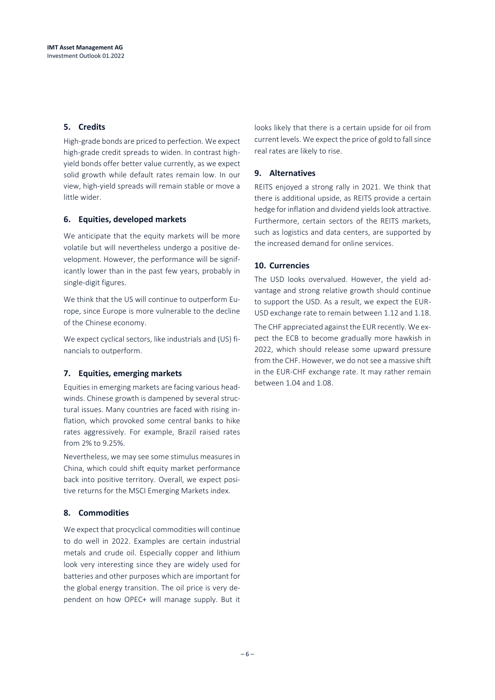### **5. Credits**

High-grade bonds are priced to perfection. We expect high-grade credit spreads to widen. In contrast highyield bonds offer better value currently, as we expect solid growth while default rates remain low. In our view, high-yield spreads will remain stable or move a little wider.

#### **6. Equities, developed markets**

We anticipate that the equity markets will be more volatile but will nevertheless undergo a positive development. However, the performance will be significantly lower than in the past few years, probably in single-digit figures.

We think that the US will continue to outperform Europe, since Europe is more vulnerable to the decline of the Chinese economy.

We expect cyclical sectors, like industrials and (US) financials to outperform.

### **7. Equities, emerging markets**

Equities in emerging markets are facing various headwinds. Chinese growth is dampened by several structural issues. Many countries are faced with rising inflation, which provoked some central banks to hike rates aggressively. For example, Brazil raised rates from 2% to 9.25%.

Nevertheless, we may see some stimulus measures in China, which could shift equity market performance back into positive territory. Overall, we expect positive returns for the MSCI Emerging Markets index.

### **8. Commodities**

We expect that procyclical commodities will continue to do well in 2022. Examples are certain industrial metals and crude oil. Especially copper and lithium look very interesting since they are widely used for batteries and other purposes which are important for the global energy transition. The oil price is very dependent on how OPEC+ will manage supply. But it looks likely that there is a certain upside for oil from current levels. We expect the price of gold to fall since real rates are likely to rise.

### **9. Alternatives**

REITS enjoyed a strong rally in 2021. We think that there is additional upside, as REITS provide a certain hedge for inflation and dividend yields look attractive. Furthermore, certain sectors of the REITS markets, such as logistics and data centers, are supported by the increased demand for online services.

#### **10. Currencies**

The USD looks overvalued. However, the yield advantage and strong relative growth should continue to support the USD. As a result, we expect the EUR-USD exchange rate to remain between 1.12 and 1.18.

The CHF appreciated against the EUR recently. We expect the ECB to become gradually more hawkish in 2022, which should release some upward pressure from the CHF. However, we do not see a massive shift in the EUR-CHF exchange rate. It may rather remain between 1.04 and 1.08.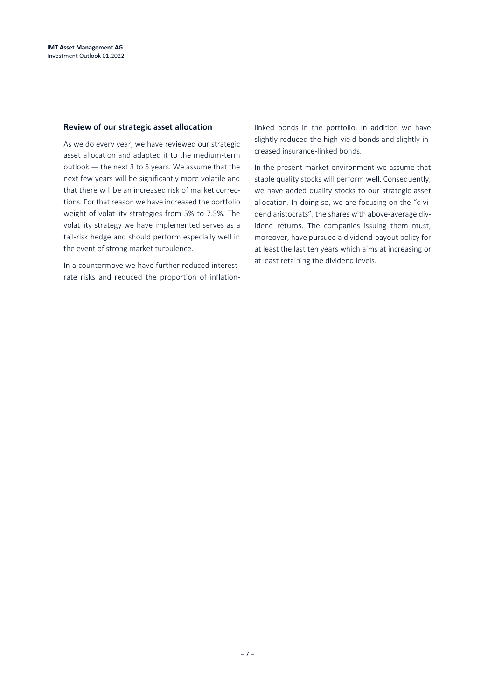#### **Review of our strategic asset allocation**

As we do every year, we have reviewed our strategic asset allocation and adapted it to the medium-term outlook — the next 3 to 5 years. We assume that the next few years will be significantly more volatile and that there will be an increased risk of market corrections. For that reason we have increased the portfolio weight of volatility strategies from 5% to 7.5%. The volatility strategy we have implemented serves as a tail-risk hedge and should perform especially well in the event of strong market turbulence.

In a countermove we have further reduced interestrate risks and reduced the proportion of inflationlinked bonds in the portfolio. In addition we have slightly reduced the high-yield bonds and slightly increased insurance-linked bonds.

In the present market environment we assume that stable quality stocks will perform well. Consequently, we have added quality stocks to our strategic asset allocation. In doing so, we are focusing on the "dividend aristocrats", the shares with above-average dividend returns. The companies issuing them must, moreover, have pursued a dividend-payout policy for at least the last ten years which aims at increasing or at least retaining the dividend levels.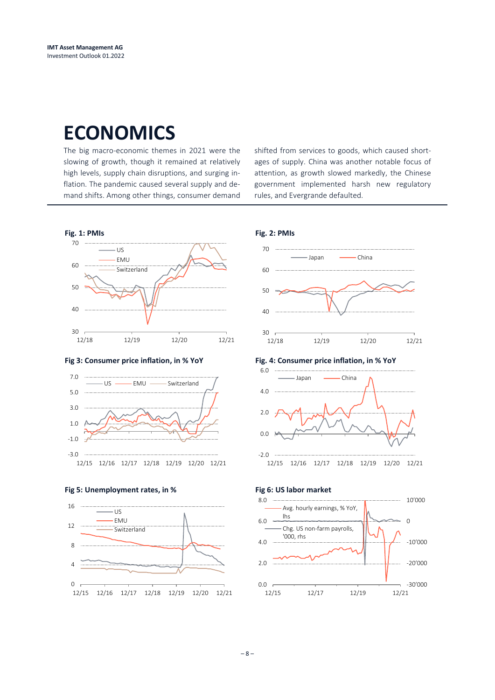### **ECONOMICS**

The big macro-economic themes in 2021 were the slowing of growth, though it remained at relatively high levels, supply chain disruptions, and surging inflation. The pandemic caused several supply and demand shifts. Among other things, consumer demand shifted from services to goods, which caused shortages of supply. China was another notable focus of attention, as growth slowed markedly, the Chinese government implemented harsh new regulatory rules, and Evergrande defaulted.



**Fig 3: Consumer price inflation, in % YoY Fig. 4: Consumer price inflation, in % YoY**













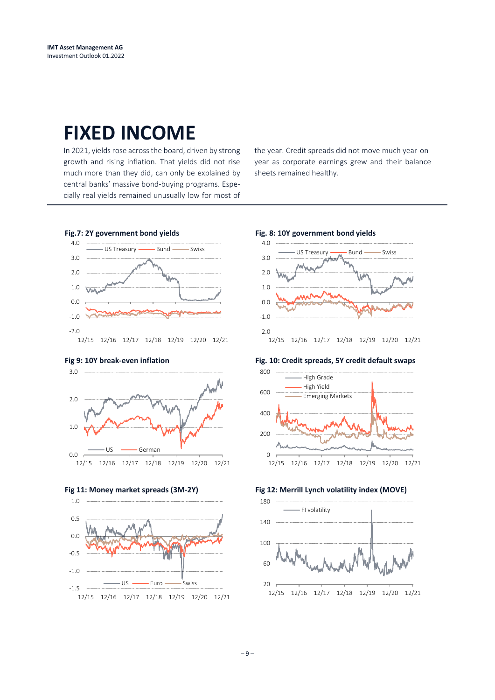### **FIXED INCOME**

In 2021, yields rose across the board, driven by strong growth and rising inflation. That yields did not rise much more than they did, can only be explained by central banks' massive bond-buying programs. Especially real yields remained unusually low for most of the year. Credit spreads did not move much year-onyear as corporate earnings grew and their balance sheets remained healthy.











**Fig 9: 10Y break-even inflation Fig. 10: Credit spreads, 5Y credit default swaps**





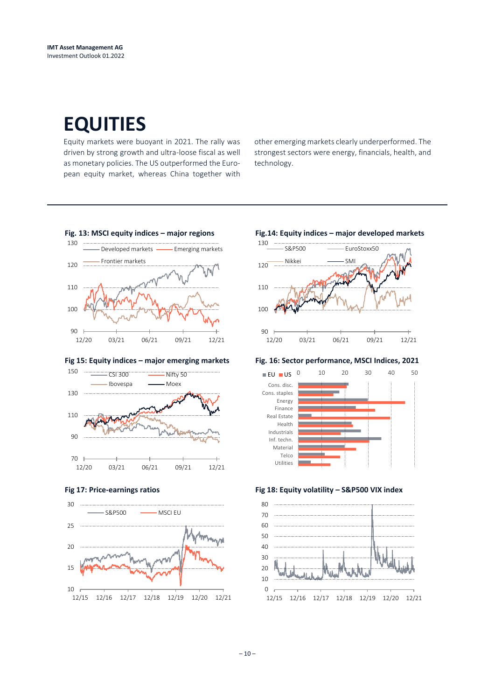## **EQUITIES**

Equity markets were buoyant in 2021. The rally was driven by strong growth and ultra-loose fiscal as well as monetary policies. The US outperformed the European equity market, whereas China together with other emerging markets clearly underperformed. The strongest sectors were energy, financials, health, and technology.



#### **Fig 15: Equity indices – major emerging markets Fig. 16: Sector performance, MSCI Indices, 2021**









#### **Fig 17: Price-earnings ratios Fig 18: Equity volatility – S&P500 VIX index**

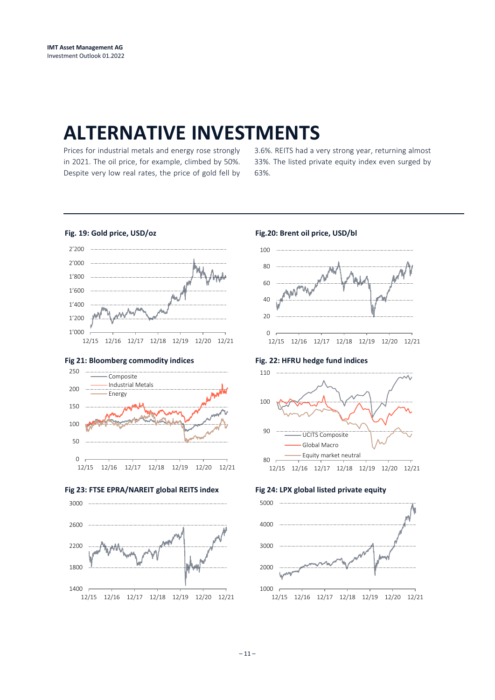### **ALTERNATIVE INVESTMENTS**

Prices for industrial metals and energy rose strongly in 2021. The oil price, for example, climbed by 50%. Despite very low real rates, the price of gold fell by 3.6%. REITS had a very strong year, returning almost 33%. The listed private equity index even surged by 63%.

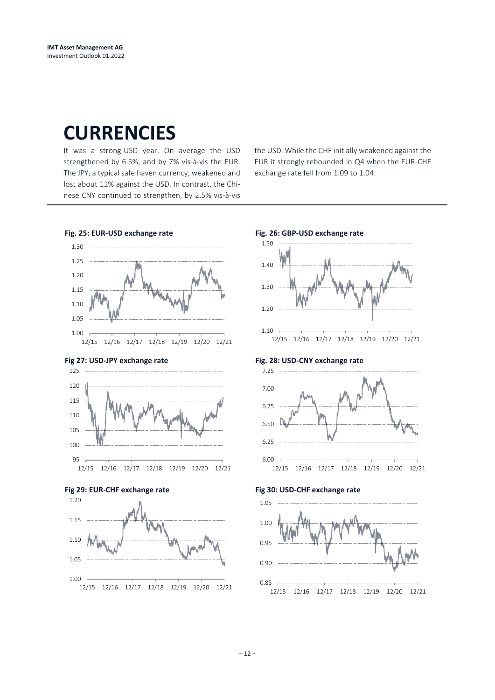### **CURRENCIES**

It was a strong-USD year. On average the USD strengthened by 6.5%, and by 7% vis-à-vis the EUR. The JPY, a typical safe haven currency, weakened and lost about 11% against the USD. In contrast, the Chinese CNY continued to strengthen, by 2.5% vis-à-vis

the USD. While the CHF initially weakened against the EUR it strongly rebounded in Q4 when the EUR-CHF exchange rate fell from 1.09 to 1.04.



### $-12-$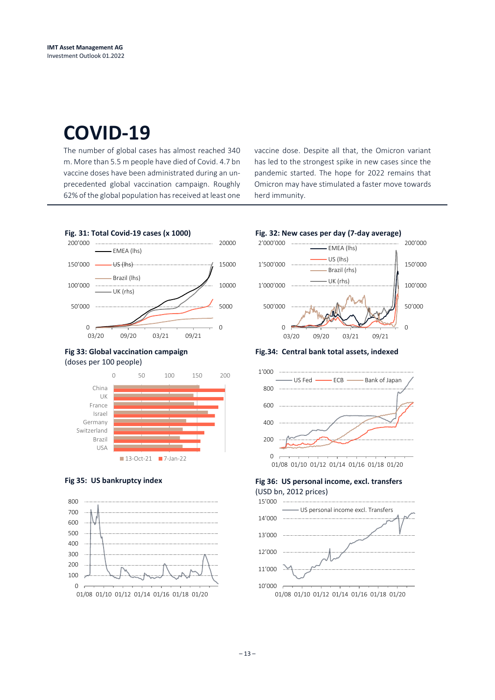### **COVID-19**

The number of global cases has almost reached 340 m. More than 5.5 m people have died of Covid. 4.7 bn vaccine doses have been administrated during an unprecedented global vaccination campaign. Roughly 62% of the global population has received at least one vaccine dose. Despite all that, the Omicron variant has led to the strongest spike in new cases since the pandemic started. The hope for 2022 remains that Omicron may have stimulated a faster move towards herd immunity.



#### **Fig 33: Global vaccination campaign** (doses per 100 people)







**Fig.34: Central bank total assets, indexed**



### Fig 35: US bankruptcy index **Fig 36: US personal income, excl. transfers**

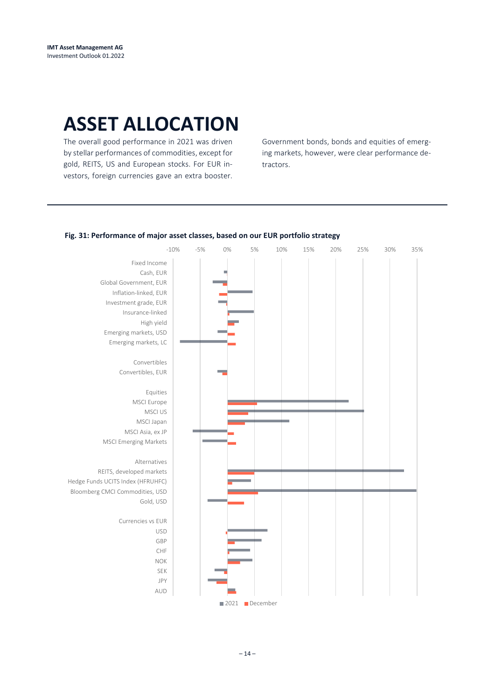## **ASSET ALLOCATION**

The overall good performance in 2021 was driven by stellar performances of commodities, except for gold, REITS, US and European stocks. For EUR investors, foreign currencies gave an extra booster.

Government bonds, bonds and equities of emerging markets, however, were clear performance detractors.

#### **Fig. 31: Performance of major asset classes, based on our EUR portfolio strategy**

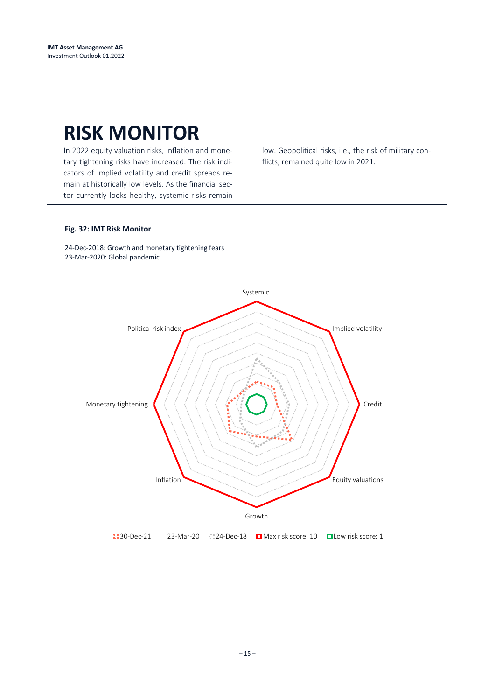### **RISK MONITOR**

In 2022 equity valuation risks, inflation and monetary tightening risks have increased. The risk indicators of implied volatility and credit spreads remain at historically low levels. As the financial sector currently looks healthy, systemic risks remain low. Geopolitical risks, i.e., the risk of military conflicts, remained quite low in 2021.

#### **Fig. 32: IMT Risk Monitor**

24-Dec-2018: Growth and monetary tightening fears 23-Mar-2020: Global pandemic